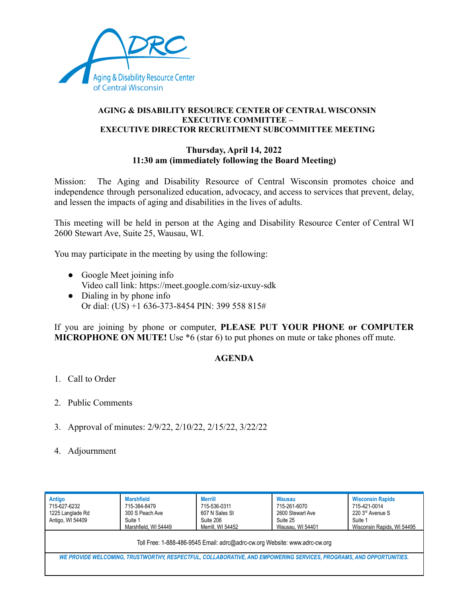

## **AGING & DISABILITY RESOURCE CENTER OF CENTRAL WISCONSIN EXECUTIVE COMMITTEE – EXECUTIVE DIRECTOR RECRUITMENT SUBCOMMITTEE MEETING**

## **Thursday, April 14, 2022 11:30 am (immediately following the Board Meeting)**

Mission: The Aging and Disability Resource of Central Wisconsin promotes choice and independence through personalized education, advocacy, and access to services that prevent, delay, and lessen the impacts of aging and disabilities in the lives of adults.

This meeting will be held in person at the Aging and Disability Resource Center of Central WI 2600 Stewart Ave, Suite 25, Wausau, WI.

You may participate in the meeting by using the following:

- Google Meet joining info Video call link: https://meet.google.com/siz-uxuy-sdk
- Dialing in by phone info Or dial: (US) +1 636-373-8454 PIN: 399 558 815#

If you are joining by phone or computer, **PLEASE PUT YOUR PHONE or COMPUTER MICROPHONE ON MUTE!** Use \*6 (star 6) to put phones on mute or take phones off mute.

## **AGENDA**

- 1. Call to Order
- 2. Public Comments
- 3. Approval of minutes: 2/9/22, 2/10/22, 2/15/22, 3/22/22
- 4. Adjournment

| Antigo<br>715-627-6232<br>1225 Langlade Rd<br>Antigo, WI 54409                                                      | <b>Marshfield</b><br>715-384-8479<br>300 S Peach Ave<br>Suite 1<br>Marshfield, WI 54449 | <b>Merrill</b><br>715-536-0311<br>607 N Sales St<br>Suite 206<br>Merrill, WI 54452<br>Toll Free: 1-888-486-9545 Email: adrc@adrc-cw.org Website: www.adrc-cw.org | <b>Wausau</b><br>715-261-6070<br>2600 Stewart Ave<br>Suite 25<br>Wausau, WI 54401 | <b>Wisconsin Rapids</b><br>715-421-0014<br>220 3rd Avenue S<br>Suite 1<br>Wisconsin Rapids, WI 54495 |
|---------------------------------------------------------------------------------------------------------------------|-----------------------------------------------------------------------------------------|------------------------------------------------------------------------------------------------------------------------------------------------------------------|-----------------------------------------------------------------------------------|------------------------------------------------------------------------------------------------------|
|                                                                                                                     |                                                                                         |                                                                                                                                                                  |                                                                                   |                                                                                                      |
| WE PROVIDE WELCOMING, TRUSTWORTHY, RESPECTFUL, COLLABORATIVE, AND EMPOWERING SERVICES, PROGRAMS, AND OPPORTUNITIES. |                                                                                         |                                                                                                                                                                  |                                                                                   |                                                                                                      |
|                                                                                                                     |                                                                                         |                                                                                                                                                                  |                                                                                   |                                                                                                      |